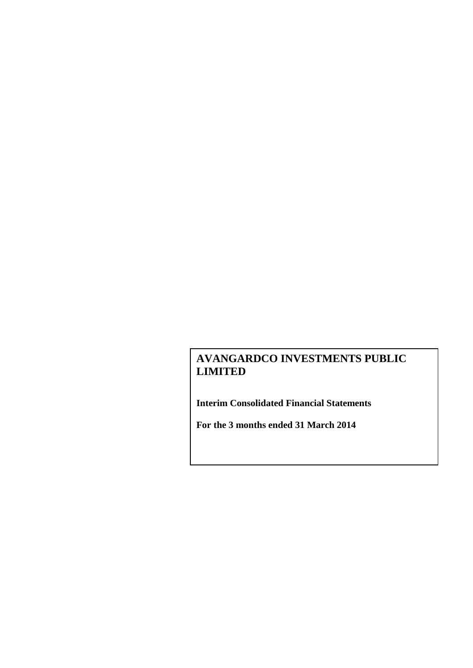**Interim Consolidated Financial Statements**

**For the 3 months ended 31 March 2014**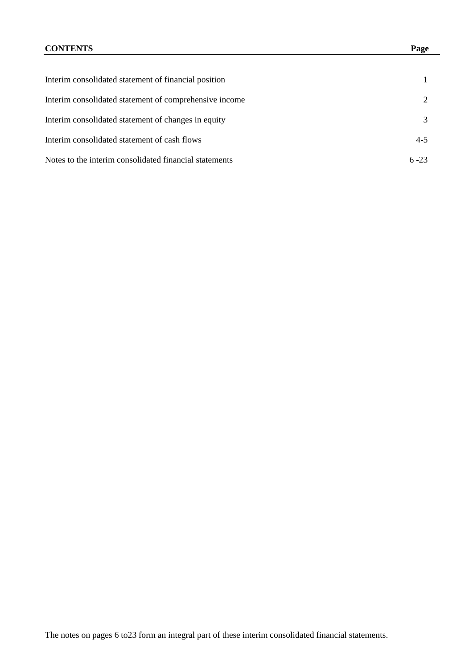## **CONTENTS Page**

| Interim consolidated statement of financial position   |          |
|--------------------------------------------------------|----------|
| Interim consolidated statement of comprehensive income | 2        |
| Interim consolidated statement of changes in equity    | 3        |
| Interim consolidated statement of cash flows           | $4 - 5$  |
| Notes to the interim consolidated financial statements | $6 - 23$ |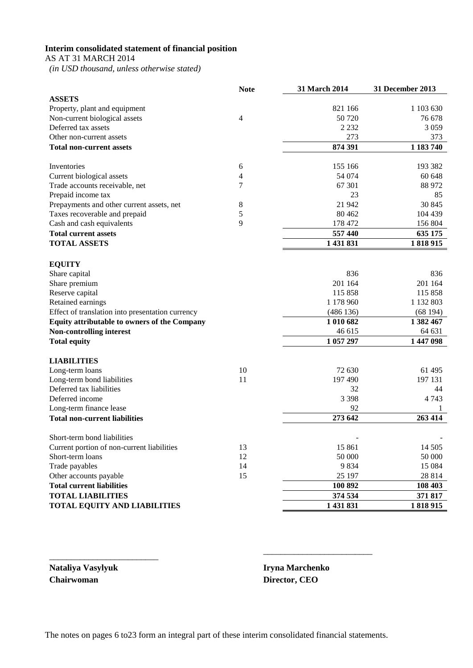## **Interim consolidated statement of financial position**

AS AT 31 MARCH 2014

 *(in USD thousand, unless otherwise stated)*

|                                                  | <b>Note</b> | 31 March 2014 | 31 December 2013 |
|--------------------------------------------------|-------------|---------------|------------------|
| <b>ASSETS</b>                                    |             |               |                  |
| Property, plant and equipment                    |             | 821 166       | 1 103 630        |
| Non-current biological assets                    | 4           | 50 720        | 76 678           |
| Deferred tax assets                              |             | 2 2 3 2       | 3 0 5 9          |
| Other non-current assets                         |             | 273           | 373              |
| <b>Total non-current assets</b>                  |             | 874 391       | 1 183 740        |
| Inventories                                      | 6           | 155 166       | 193 382          |
| Current biological assets                        | 4           | 54 074        | 60 648           |
| Trade accounts receivable, net                   | 7           | 67 301        | 88 972           |
| Prepaid income tax                               |             | 23            | 85               |
|                                                  | 8           | 21 942        | 30 845           |
| Prepayments and other current assets, net        | 5           | 80 4 62       | 104 439          |
| Taxes recoverable and prepaid                    | 9           | 178 472       |                  |
| Cash and cash equivalents                        |             |               | 156 804          |
| <b>Total current assets</b>                      |             | 557 440       | 635 175          |
| <b>TOTAL ASSETS</b>                              |             | 1 431 831     | 1818915          |
|                                                  |             |               |                  |
| <b>EQUITY</b><br>Share capital                   |             | 836           | 836              |
| Share premium                                    |             | 201 164       | 201 164          |
| Reserve capital                                  |             | 115 858       | 115 858          |
| Retained earnings                                |             | 1 178 960     | 1 132 803        |
| Effect of translation into presentation currency |             | (486136)      | (68194)          |
| Equity attributable to owners of the Company     |             | 1 010 682     | 1 382 467        |
| Non-controlling interest                         |             | 46 615        | 64 631           |
| <b>Total equity</b>                              |             | 1 057 297     | 1 447 098        |
|                                                  |             |               |                  |
| <b>LIABILITIES</b>                               |             |               |                  |
| Long-term loans                                  | 10          | 72 630        | 61 495           |
| Long-term bond liabilities                       | 11          | 197 490       | 197 131          |
| Deferred tax liabilities                         |             | 32            | 44               |
| Deferred income                                  |             | 3 3 9 8       | 4 7 4 3          |
| Long-term finance lease                          |             | 92            | 1                |
| <b>Total non-current liabilities</b>             |             | 273 642       | 263 414          |
| Short-term bond liabilities                      |             |               |                  |
| Current portion of non-current liabilities       | 13          | 15 861        | 14 505           |
| Short-term loans                                 | 12          | 50 000        | 50 000           |
| Trade payables                                   | 14          | 9834          | 15 084           |
| Other accounts payable                           | 15          | 25 197        | 28 814           |
| <b>Total current liabilities</b>                 |             | 100 892       | 108 403          |
| <b>TOTAL LIABILITIES</b>                         |             | 374 534       | 371 817          |
| <b>TOTAL EQUITY AND LIABILITIES</b>              |             | 1 431 831     | 1818915          |
|                                                  |             |               |                  |

**Nataliya Vasylyuk Iryna Marchenko Chairwoman Director, CEO**

\_\_\_\_\_\_\_\_\_\_\_\_\_\_\_\_\_\_\_\_\_\_\_\_\_

\_\_\_\_\_\_\_\_\_\_\_\_\_\_\_\_\_\_\_\_\_\_\_\_\_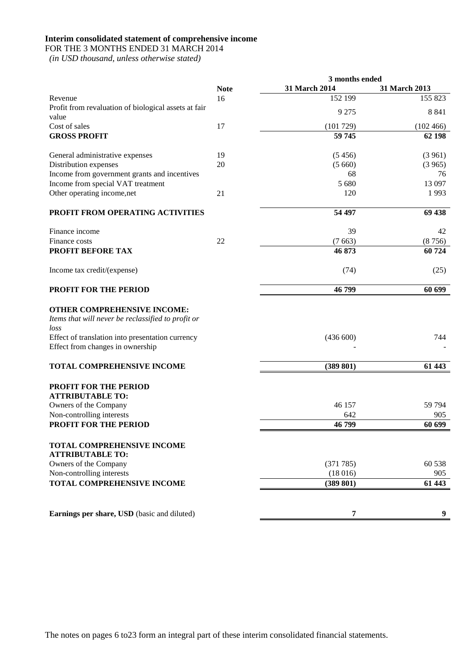#### **Interim consolidated statement of comprehensive income**

FOR THE 3 MONTHS ENDED 31 MARCH 2014

|                                                                                                                                               |             | 3 months ended |               |
|-----------------------------------------------------------------------------------------------------------------------------------------------|-------------|----------------|---------------|
|                                                                                                                                               | <b>Note</b> | 31 March 2014  | 31 March 2013 |
| Revenue                                                                                                                                       | 16          | 152 199        | 155 823       |
| Profit from revaluation of biological assets at fair<br>value                                                                                 |             | 9 2 7 5        | 8841          |
| Cost of sales                                                                                                                                 | 17          | (101729)       | (102466)      |
| <b>GROSS PROFIT</b>                                                                                                                           |             | 59 745         | 62 198        |
| General administrative expenses                                                                                                               | 19          | (5456)         | (3961)        |
| Distribution expenses                                                                                                                         | 20          | (5660)         | (3965)        |
| Income from government grants and incentives                                                                                                  |             | 68             | 76            |
| Income from special VAT treatment                                                                                                             |             | 5 680          | 13 097        |
| Other operating income, net                                                                                                                   | 21          | 120            | 1993          |
| PROFIT FROM OPERATING ACTIVITIES                                                                                                              |             | 54 497         | 69 438        |
| Finance income                                                                                                                                |             | 39             | 42            |
| Finance costs                                                                                                                                 | 22          | (7663)         | (8756)        |
| PROFIT BEFORE TAX                                                                                                                             |             | 46 873         | 60724         |
| Income tax credit/(expense)                                                                                                                   |             | (74)           | (25)          |
| PROFIT FOR THE PERIOD                                                                                                                         |             | 46799          | 60 699        |
| OTHER COMPREHENSIVE INCOME:<br>Items that will never be reclassified to profit or<br>loss<br>Effect of translation into presentation currency |             | (436 600)      | 744           |
| Effect from changes in ownership                                                                                                              |             |                |               |
| TOTAL COMPREHENSIVE INCOME                                                                                                                    |             | (389 801)      | 61 443        |
| <b>PROFIT FOR THE PERIOD</b><br><b>ATTRIBUTABLE TO:</b>                                                                                       |             |                |               |
| Owners of the Company                                                                                                                         |             | 46 157         | 59 794        |
| Non-controlling interests                                                                                                                     |             | 642            | 905           |
| <b>PROFIT FOR THE PERIOD</b>                                                                                                                  |             | 46799          | 60 699        |
| <b>TOTAL COMPREHENSIVE INCOME</b><br><b>ATTRIBUTABLE TO:</b>                                                                                  |             |                |               |
| Owners of the Company                                                                                                                         |             | (371785)       | 60 538        |
| Non-controlling interests                                                                                                                     |             | (18016)        | 905           |
| <b>TOTAL COMPREHENSIVE INCOME</b>                                                                                                             |             | (389 801)      | 61 443        |
|                                                                                                                                               |             |                |               |
| Earnings per share, USD (basic and diluted)                                                                                                   |             | 7              | 9             |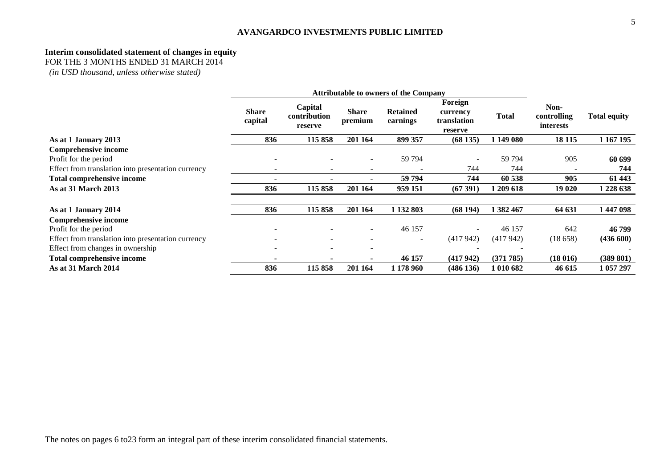#### **Interim consolidated statement of changes in equity**

FOR THE 3 MONTHS ENDED 31 MARCH 2014

|                                                    | <b>Attributable to owners of the Company</b> |                                    |                              |                             |                                               |              |                                         |                     |
|----------------------------------------------------|----------------------------------------------|------------------------------------|------------------------------|-----------------------------|-----------------------------------------------|--------------|-----------------------------------------|---------------------|
|                                                    | <b>Share</b><br>capital                      | Capital<br>contribution<br>reserve | <b>Share</b><br>premium      | <b>Retained</b><br>earnings | Foreign<br>currency<br>translation<br>reserve | <b>Total</b> | Non-<br>controlling<br><i>interests</i> | <b>Total equity</b> |
| As at 1 January 2013                               | 836                                          | 115 858                            | 201 164                      | 899 357                     | (68135)                                       | 1 149 080    | 18 11 5                                 | 1 167 195           |
| Comprehensive income                               |                                              |                                    |                              |                             |                                               |              |                                         |                     |
| Profit for the period                              |                                              |                                    |                              | 59 794                      |                                               | 59 794       | 905                                     | 60 699              |
| Effect from translation into presentation currency |                                              | $\overline{\phantom{0}}$           | ۰                            |                             | 744                                           | 744          |                                         | 744                 |
| Total comprehensive income                         |                                              |                                    | ٠                            | 59 794                      | 744                                           | 60 538       | 905                                     | 61 443              |
| As at 31 March 2013                                | 836                                          | 115 858                            | 201 164                      | 959 151                     | (67391)                                       | 1 209 618    | 19 020                                  | 1 228 638           |
| As at 1 January 2014                               | 836                                          | 115 858                            | 201 164                      | 1 132 803                   | (68194)                                       | 1 382 467    | 64 631                                  | 1447098             |
| <b>Comprehensive income</b>                        |                                              |                                    |                              |                             |                                               |              |                                         |                     |
| Profit for the period                              |                                              |                                    |                              | 46 157                      | $\overline{\phantom{a}}$                      | 46 157       | 642                                     | 46 799              |
| Effect from translation into presentation currency |                                              |                                    |                              | $\overline{\phantom{a}}$    | (417942)                                      | (417942)     | (18658)                                 | (436 600)           |
| Effect from changes in ownership                   |                                              | $\overline{\phantom{a}}$           | $\qquad \qquad \blacksquare$ |                             |                                               |              |                                         |                     |
| Total comprehensive income                         |                                              |                                    |                              | 46 157                      | (417942)                                      | (371785)     | (18016)                                 | (389 801)           |
| <b>As at 31 March 2014</b>                         | 836                                          | 115 858                            | 201 164                      | 1 178 960                   | (486136)                                      | 1 010 682    | 46 615                                  | 1 057 297           |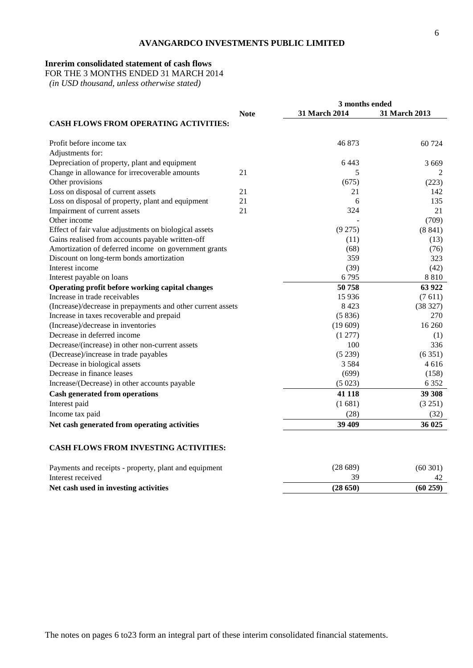## **Inrerim consolidated statement of cash flows**

FOR THE 3 MONTHS ENDED 31 MARCH 2014

|                                                             |             | 3 months ended |                                           |
|-------------------------------------------------------------|-------------|----------------|-------------------------------------------|
|                                                             | <b>Note</b> | 31 March 2014  | 31 March 2013                             |
| <b>CASH FLOWS FROM OPERATING ACTIVITIES:</b>                |             |                |                                           |
| Profit before income tax                                    |             | 46873          | 60 724                                    |
| Adjustments for:                                            |             |                |                                           |
| Depreciation of property, plant and equipment               |             | 6 4 4 3        | 3 6 6 9                                   |
| Change in allowance for irrecoverable amounts               | 21          | 5              | 2                                         |
| Other provisions                                            |             | (675)          | (223)                                     |
| Loss on disposal of current assets                          | 21          | 21             | 142                                       |
| Loss on disposal of property, plant and equipment           | 21          | 6              | 135                                       |
| Impairment of current assets                                | 21          | 324            | 21                                        |
| Other income                                                |             |                | (709)                                     |
| Effect of fair value adjustments on biological assets       |             | (9275)         | (8841)                                    |
| Gains realised from accounts payable written-off            |             | (11)           | (13)                                      |
| Amortization of deferred income on government grants        |             | (68)           | (76)                                      |
| Discount on long-term bonds amortization                    |             | 359            | 323                                       |
| Interest income                                             |             | (39)           | (42)                                      |
| Interest payable on loans                                   |             | 6795           | 8 8 1 0                                   |
| Operating profit before working capital changes             |             | 50758          | 63 922                                    |
| Increase in trade receivables                               |             | 15 9 36        | (7611)                                    |
| (Increase)/decrease in prepayments and other current assets |             | 8423           | (38 327)                                  |
| Increase in taxes recoverable and prepaid                   |             | (5836)         | 270                                       |
| (Increase)/decrease in inventories                          |             | (19609)        | 16 260                                    |
| Decrease in deferred income                                 |             | (1277)         | (1)                                       |
| Decrease/(increase) in other non-current assets             |             | 100            | 336                                       |
| (Decrease)/increase in trade payables                       |             | (5239)         | (6351)                                    |
| Decrease in biological assets                               |             | 3 5 8 4        | 4616                                      |
| Decrease in finance leases                                  |             | (699)          | (158)                                     |
| Increase/(Decrease) in other accounts payable               |             | (5023)         | 6 3 5 2                                   |
| <b>Cash generated from operations</b>                       |             | 41 118         | 39 308                                    |
| Interest paid                                               |             | (1681)         | (3 251)                                   |
| Income tax paid                                             |             | (28)           | (32)                                      |
| Net cash generated from operating activities                |             | 39 409         | 36 025                                    |
| CASH FLOWS FROM INVESTING ACTIVITIES:                       |             |                |                                           |
|                                                             |             | (20.20)        | $\sim$ $\sim$ $\sim$ $\sim$ $\sim$ $\sim$ |

| Payments and receipts - property, plant and equipment | (28 689) | (60301) |
|-------------------------------------------------------|----------|---------|
| Interest received                                     |          |         |
| Net cash used in investing activities                 | (28650)  | (60259) |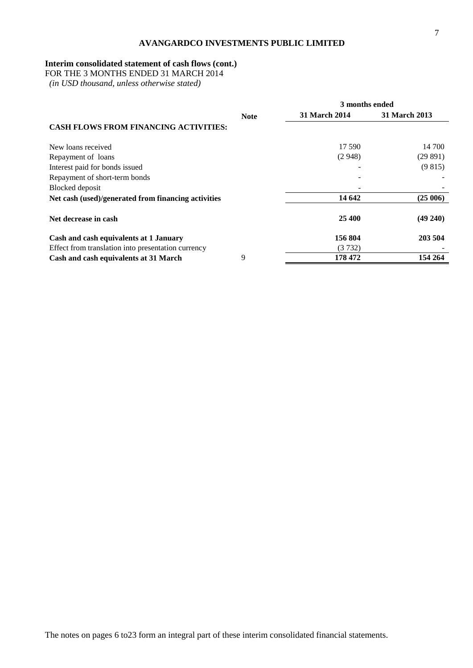## **Interim consolidated statement of cash flows (cont.)**

FOR THE 3 MONTHS ENDED 31 MARCH 2014

|                                                     |             | 3 months ended       |                      |  |  |
|-----------------------------------------------------|-------------|----------------------|----------------------|--|--|
|                                                     | <b>Note</b> | <b>31 March 2014</b> | <b>31 March 2013</b> |  |  |
| <b>CASH FLOWS FROM FINANCING ACTIVITIES:</b>        |             |                      |                      |  |  |
| New loans received                                  |             | 17 590               | 14 700               |  |  |
| Repayment of loans                                  |             | (2948)               | (29891)              |  |  |
| Interest paid for bonds issued                      |             |                      | (9815)               |  |  |
| Repayment of short-term bonds                       |             |                      |                      |  |  |
| Blocked deposit                                     |             |                      |                      |  |  |
| Net cash (used)/generated from financing activities |             | 14 642               | (25006)              |  |  |
| Net decrease in cash                                |             | 25 400               | $(49\ 240)$          |  |  |
| Cash and cash equivalents at 1 January              |             | 156 804              | 203 504              |  |  |
| Effect from translation into presentation currency  |             | (3732)               |                      |  |  |
| Cash and cash equivalents at 31 March               | 9           | 178 472              | 154 264              |  |  |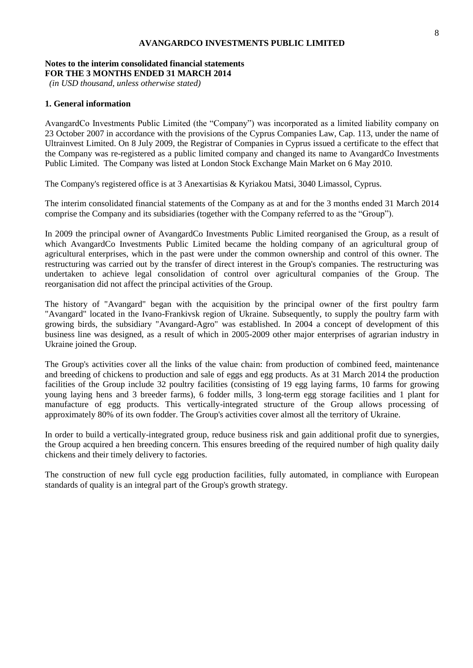#### **Notes to the interim consolidated financial statements FOR THE 3 MONTHS ENDED 31 MARCH 2014**

*(in USD thousand, unless otherwise stated)*

#### **1. General information**

AvangardCo Investments Public Limited (the "Company") was incorporated as a limited liability company on 23 October 2007 in accordance with the provisions of the Cyprus Companies Law, Cap. 113, under the name of Ultrainvest Limited. On 8 July 2009, the Registrar of Companies in Cyprus issued a certificate to the effect that the Company was re-registered as a public limited company and changed its name to AvangardCo Investments Public Limited. The Company was listed at London Stock Exchange Main Market on 6 May 2010.

The Company's registered office is at 3 Anexartisias & Kyriakou Matsi, 3040 Limassol, Cyprus.

The interim consolidated financial statements of the Company as at and for the 3 months ended 31 March 2014 comprise the Company and its subsidiaries (together with the Company referred to as the "Group").

In 2009 the principal owner of AvangardCo Investments Public Limited reorganised the Group, as a result of which AvangardCo Investments Public Limited became the holding company of an agricultural group of agricultural enterprises, which in the past were under the common ownership and control of this owner. The restructuring was carried out by the transfer of direct interest in the Group's companies. The restructuring was undertaken to achieve legal consolidation of control over agricultural companies of the Group. The reorganisation did not affect the principal activities of the Group.

The history of "Avangard" began with the acquisition by the principal owner of the first poultry farm "Avangard" located in the Ivano-Frankivsk region of Ukraine. Subsequently, to supply the poultry farm with growing birds, the subsidiary "Avangard-Agro" was established. In 2004 a concept of development of this business line was designed, as a result of which in 2005-2009 other major enterprises of agrarian industry in Ukraine joined the Group.

The Group's activities cover all the links of the value chain: from production of combined feed, maintenance and breeding of chickens to production and sale of eggs and egg products. As at 31 March 2014 the production facilities of the Group include 32 poultry facilities (consisting of 19 egg laying farms, 10 farms for growing young laying hens and 3 breeder farms), 6 fodder mills, 3 long-term egg storage facilities and 1 plant for manufacture of egg products. This vertically-integrated structure of the Group allows processing of approximately 80% of its own fodder. The Group's activities cover almost all the territory of Ukraine.

In order to build a vertically-integrated group, reduce business risk and gain additional profit due to synergies, the Group acquired a hen breeding concern. This ensures breeding of the required number of high quality daily chickens and their timely delivery to factories.

The construction of new full cycle egg production facilities, fully automated, in compliance with European standards of quality is an integral part of the Group's growth strategy.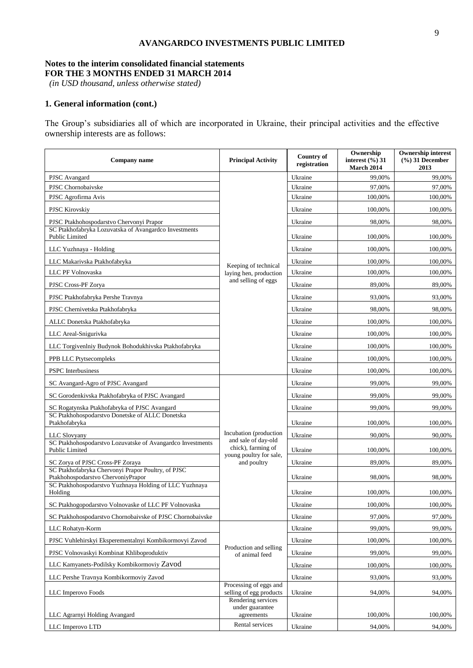#### **Notes to the interim consolidated financial statements FOR THE 3 MONTHS ENDED 31 MARCH 2014**

*(in USD thousand, unless otherwise stated)*

## **1. General information (cont.)**

The Group's subsidiaries all of which are incorporated in Ukraine, their principal activities and the effective ownership interests are as follows:

| Company name                                                                             | <b>Principal Activity</b>                                            | Country of<br>registration | Ownership<br>interest $(\frac{6}{6})$ 31<br><b>March 2014</b> | <b>Ownership interest</b><br>$(\frac{9}{6})$ 31 December<br>2013 |
|------------------------------------------------------------------------------------------|----------------------------------------------------------------------|----------------------------|---------------------------------------------------------------|------------------------------------------------------------------|
| PJSC Avangard                                                                            |                                                                      | Ukraine                    | 99.00%                                                        | 99,00%                                                           |
| PJSC Chornobaivske                                                                       |                                                                      | Ukraine                    | 97,00%                                                        | 97,00%                                                           |
| PJSC Agrofirma Avis                                                                      |                                                                      | Ukraine                    | 100,00%                                                       | 100,00%                                                          |
| <b>PJSC Kirovskiy</b>                                                                    |                                                                      | Ukraine                    | 100,00%                                                       | 100,00%                                                          |
| PJSC Ptakhohospodarstvo Chervonyi Prapor                                                 |                                                                      | Ukraine                    | 98,00%                                                        | 98,00%                                                           |
| SC Ptakhofabryka Lozuvatska of Avangardco Investments<br>Public Limited                  |                                                                      | Ukraine                    | 100,00%                                                       | 100,00%                                                          |
| LLC Yuzhnaya - Holding                                                                   |                                                                      | Ukraine                    | 100,00%                                                       | 100,00%                                                          |
| LLC Makarivska Ptakhofabryka                                                             | Keeping of technical                                                 | Ukraine                    | 100,00%                                                       | 100,00%                                                          |
| LLC PF Volnovaska                                                                        | laying hen, production                                               | Ukraine                    | 100,00%                                                       | 100,00%                                                          |
| PJSC Cross-PF Zorya                                                                      | and selling of eggs                                                  | Ukraine                    | 89,00%                                                        | 89,00%                                                           |
| PJSC Ptakhofabryka Pershe Travnya                                                        |                                                                      | Ukraine                    | 93,00%                                                        | 93,00%                                                           |
| PJSC Chernivetska Ptakhofabryka                                                          |                                                                      | Ukraine                    | 98,00%                                                        | 98,00%                                                           |
| ALLC Donetska Ptakhofabryka                                                              |                                                                      | Ukraine                    | 100,00%                                                       | 100,00%                                                          |
| LLC Areal-Snigurivka                                                                     |                                                                      | Ukraine                    | 100,00%                                                       | 100,00%                                                          |
| LLC Torgivenlniy Budynok Bohodukhivska Ptakhofabryka                                     |                                                                      | Ukraine                    | 100,00%                                                       | 100,00%                                                          |
| PPB LLC Ptytsecompleks                                                                   |                                                                      | Ukraine                    | 100,00%                                                       | 100,00%                                                          |
| <b>PSPC</b> Interbusiness                                                                |                                                                      | Ukraine                    | 100,00%                                                       | 100,00%                                                          |
| SC Avangard-Agro of PJSC Avangard                                                        |                                                                      | Ukraine                    | 99,00%                                                        | 99,00%                                                           |
| SC Gorodenkivska Ptakhofabryka of PJSC Avangard                                          |                                                                      | Ukraine                    | 99,00%                                                        | 99,00%                                                           |
| SC Rogatynska Ptakhofabryka of PJSC Avangard                                             |                                                                      | Ukraine                    | 99,00%                                                        | 99,00%                                                           |
| SC Ptakhohospodarstvo Donetske of ALLC Donetska<br>Ptakhofabryka                         |                                                                      | Ukraine                    | 100,00%                                                       | 100,00%                                                          |
| LLC Slovyany                                                                             | Incubation (production                                               | Ukraine                    | 90,00%                                                        | 90,00%                                                           |
| SC Ptakhohospodarstvo Lozuvatske of Avangardco Investments<br>Public Limited             | and sale of day-old<br>chick), farming of<br>young poultry for sale, | Ukraine                    | 100,00%                                                       | 100,00%                                                          |
| SC Zorya of PJSC Cross-PF Zoraya                                                         | and poultry                                                          | Ukraine                    | 89,00%                                                        | 89,00%                                                           |
| SC Ptakhofabryka Chervonyi Prapor Poultry, of PJSC<br>Ptakhohospodarstvo ChervoniyPrapor |                                                                      | Ukraine                    | 98,00%                                                        | 98,00%                                                           |
| SC Ptakhohospodarstvo Yuzhnaya Holding of LLC Yuzhnaya<br>Holding                        |                                                                      | Ukraine                    | 100,00%                                                       | 100,00%                                                          |
| SC Ptakhogopodarstvo Volnovaske of LLC PF Volnovaska                                     |                                                                      | Ukraine                    | 100,00%                                                       | 100,00%                                                          |
| SC Ptakhohospodarstvo Chornobaivske of PJSC Chornobaivske                                |                                                                      | Ukraine                    | 97,00%                                                        | 97,00%                                                           |
| LLC Rohatyn-Korm                                                                         |                                                                      | Ukraine                    | 99,00%                                                        | 99,00%                                                           |
| PJSC Vuhlehirskyi Eksperementalnyi Kombikormovyi Zavod                                   |                                                                      | Ukraine                    | 100,00%                                                       | 100,00%                                                          |
| PJSC Volnovaskyi Kombinat Khliboproduktiv                                                | Production and selling<br>of animal feed                             | Ukraine                    | 99,00%                                                        | 99,00%                                                           |
| LLC Kamyanets-Podilsky Kombikormoviy Zavod                                               |                                                                      | Ukraine                    | 100,00%                                                       | 100,00%                                                          |
| LLC Pershe Travnya Kombikormoviy Zavod                                                   |                                                                      | Ukraine                    | 93,00%                                                        | 93,00%                                                           |
| LLC Imperovo Foods                                                                       | Processing of eggs and<br>selling of egg products                    | Ukraine                    | 94,00%                                                        | 94,00%                                                           |
|                                                                                          | Rendering services<br>under guarantee                                |                            |                                                               |                                                                  |
| LLC Agramyi Holding Avangard                                                             | agreements                                                           | Ukraine                    | 100,00%                                                       | 100,00%                                                          |
| LLC Imperovo LTD                                                                         | Rental services                                                      | Ukraine                    | 94,00%                                                        | 94,00%                                                           |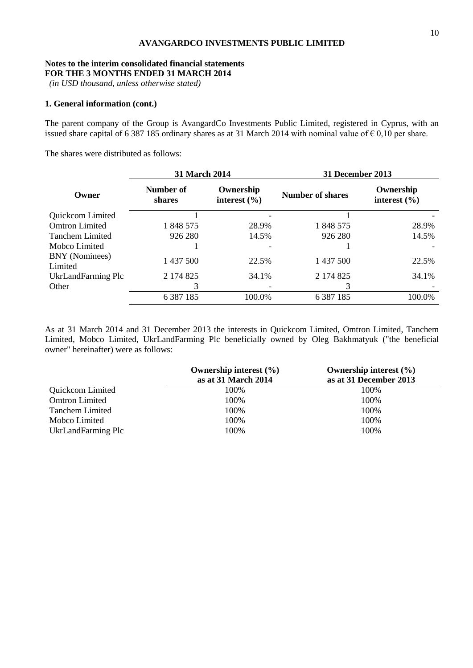#### **Notes to the interim consolidated financial statements FOR THE 3 MONTHS ENDED 31 MARCH 2014**

*(in USD thousand, unless otherwise stated)*

## **1. General information (cont.)**

The parent company of the Group is AvangardCo Investments Public Limited, registered in Cyprus, with an issued share capital of 6 387 185 ordinary shares as at 31 March 2014 with nominal value of  $\epsilon$  0,10 per share.

The shares were distributed as follows:

|                           | 31 March 2014       |                               | 31 December 2013        |                               |  |
|---------------------------|---------------------|-------------------------------|-------------------------|-------------------------------|--|
| Owner                     | Number of<br>shares | Ownership<br>interest $(\% )$ | <b>Number of shares</b> | Ownership<br>interest $(\% )$ |  |
| Quickcom Limited          |                     |                               |                         |                               |  |
| <b>Omtron Limited</b>     | 1 848 575           | 28.9%                         | 1 848 575               | 28.9%                         |  |
| <b>Tanchem Limited</b>    | 926 280             | 14.5%                         | 926 280                 | 14.5%                         |  |
| Mobco Limited             |                     |                               |                         |                               |  |
| BNY (Nominees)<br>Limited | 1 437 500           | 22.5%                         | 1 437 500               | 22.5%                         |  |
| UkrLandFarming Plc        | 2 174 825           | 34.1%                         | 2 174 825               | 34.1%                         |  |
| Other                     | 3                   |                               |                         |                               |  |
|                           | 6 3 8 7 1 8 5       | 100.0%                        | 6 3 8 7 1 8 5           | 100.0%                        |  |

As at 31 March 2014 and 31 December 2013 the interests in Quickcom Limited, Omtron Limited, Tanchem Limited, Mobco Limited, UkrLandFarming Plc beneficially owned by Oleg Bakhmatyuk ("the beneficial owner" hereinafter) were as follows:

|                        | Ownership interest $(\% )$ | Ownership interest $(\% )$ |
|------------------------|----------------------------|----------------------------|
|                        | as at 31 March 2014        | as at 31 December 2013     |
| Quickcom Limited       | 100%                       | 100%                       |
| <b>Omtron Limited</b>  | 100%                       | 100%                       |
| <b>Tanchem Limited</b> | 100%                       | 100%                       |
| Mobco Limited          | 100%                       | 100%                       |
| UkrLandFarming Plc     | 100%                       | 100%                       |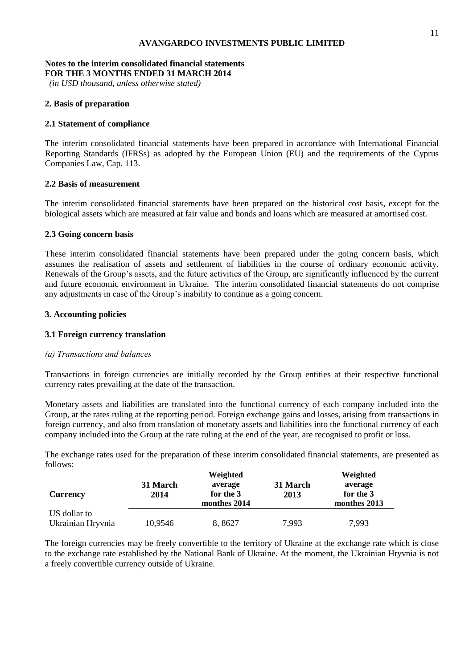#### **Notes to the interim consolidated financial statements FOR THE 3 MONTHS ENDED 31 MARCH 2014**

*(in USD thousand, unless otherwise stated)*

## **2. Basis of preparation**

## **2.1 Statement of compliance**

The interim consolidated financial statements have been prepared in accordance with International Financial Reporting Standards (IFRSs) as adopted by the European Union (EU) and the requirements of the Cyprus Companies Law, Cap. 113.

## **2.2 Basis of measurement**

The interim consolidated financial statements have been prepared on the historical cost basis, except for the biological assets which are measured at fair value and bonds and loans which are measured at amortised cost.

## **2.3 Going concern basis**

These interim consolidated financial statements have been prepared under the going concern basis, which assumes the realisation of assets and settlement of liabilities in the course of ordinary economic activity. Renewals of the Group's assets, and the future activities of the Group, are significantly influenced by the current and future economic environment in Ukraine. The interim consolidated financial statements do not comprise any adjustments in case of the Group's inability to continue as a going concern.

## **3. Accounting policies**

### **3.1 Foreign currency translation**

## *(а) Transactions and balances*

Transactions in foreign currencies are initially recorded by the Group entities at their respective functional currency rates prevailing at the date of the transaction.

Monetary assets and liabilities are translated into the functional currency of each company included into the Group, at the rates ruling at the reporting period. Foreign exchange gains and losses, arising from transactions in foreign currency, and also from translation of monetary assets and liabilities into the functional currency of each company included into the Group at the rate ruling at the end of the year, are recognised to profit or loss.

The exchange rates used for the preparation of these interim consolidated financial statements, are presented as follows:

|                   |                  | Weighted                             |                  | Weighted                             |
|-------------------|------------------|--------------------------------------|------------------|--------------------------------------|
| <b>Currency</b>   | 31 March<br>2014 | average<br>for the 3<br>monthes 2014 | 31 March<br>2013 | average<br>for the 3<br>monthes 2013 |
| US dollar to      |                  |                                      |                  |                                      |
| Ukrainian Hryvnia | 10,9546          | 8, 8627                              | 7,993            | 7,993                                |

The foreign currencies may be freely convertible to the territory of Ukraine at the exchange rate which is close to the exchange rate established by the National Bank of Ukraine. At the moment, the Ukrainian Hryvnia is not a freely convertible currency outside of Ukraine.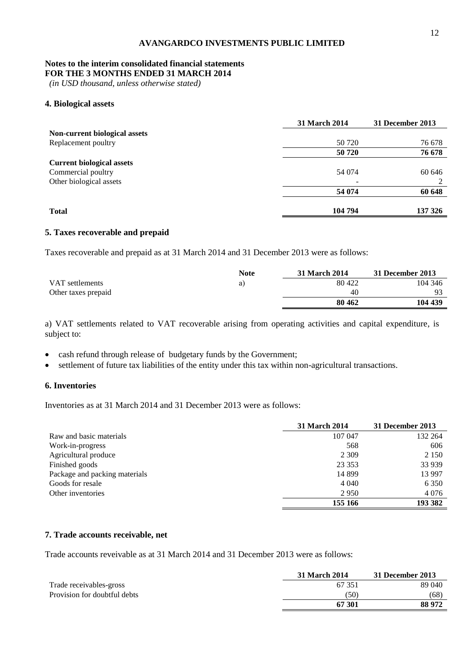## **Notes to the interim consolidated financial statements**

**FOR THE 3 MONTHS ENDED 31 MARCH 2014**

*(in USD thousand, unless otherwise stated)*

## **4. Biological assets**

|                                  | <b>31 March 2014</b> | 31 December 2013 |
|----------------------------------|----------------------|------------------|
| Non-current biological assets    |                      |                  |
| Replacement poultry              | 50 720               | 76 678           |
|                                  | 50 720               | 76 678           |
| <b>Current biological assets</b> |                      |                  |
| Commercial poultry               | 54 074               | 60 646           |
| Other biological assets          |                      |                  |
|                                  | 54 074               | 60 648           |
| <b>Total</b>                     | 104 794              | 137 326          |

#### **5. Taxes recoverable and prepaid**

Taxes recoverable and prepaid as at 31 March 2014 and 31 December 2013 were as follows:

|                     | <b>Note</b> | <b>31 March 2014</b> | 31 December 2013 |
|---------------------|-------------|----------------------|------------------|
| VAT settlements     | a J         | 80 422               | 104 346          |
| Other taxes prepaid |             | 40                   |                  |
|                     |             | 80 462               | 104 439          |

a) VAT settlements related to VAT recoverable arising from operating activities and capital expenditure, is subject to:

- cash refund through release of budgetary funds by the Government;
- settlement of future tax liabilities of the entity under this tax within non-agricultural transactions.

#### **6. Inventories**

Inventories as at 31 March 2014 and 31 December 2013 were as follows:

|                               | <b>31 March 2014</b> | 31 December 2013 |
|-------------------------------|----------------------|------------------|
| Raw and basic materials       | 107 047              | 132 264          |
| Work-in-progress              | 568                  | 606              |
| Agricultural produce          | 2 3 0 9              | 2 1 5 0          |
| Finished goods                | 23 3 5 3             | 33 939           |
| Package and packing materials | 14 8 99              | 13 997           |
| Goods for resale              | 4 0 4 0              | 6 3 5 0          |
| Other inventories             | 2950                 | 4 0 7 6          |
|                               | 155 166              | 193 382          |

#### **7. Trade accounts receivable, net**

Trade accounts reveivable as at 31 March 2014 and 31 December 2013 were as follows:

|                              | 31 March 2014 | 31 December 2013 |
|------------------------------|---------------|------------------|
| Trade receivables-gross      | 67 351        | 89 040           |
| Provision for doubtful debts | (50)          | (68)             |
|                              | 67 301        | 88 972           |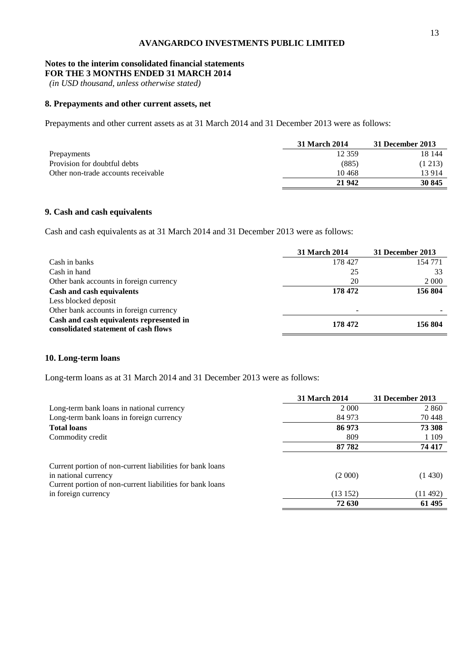## **Notes to the interim consolidated financial statements**

**FOR THE 3 MONTHS ENDED 31 MARCH 2014**

*(in USD thousand, unless otherwise stated)*

## **8. Prepayments and other current assets, net**

Prepayments and other current assets as at 31 March 2014 and 31 December 2013 were as follows:

|                                     | 31 March 2014 | 31 December 2013 |
|-------------------------------------|---------------|------------------|
| Prepayments                         | 12 359        | 18 144           |
| Provision for doubtful debts        | (885)         | (1 213)          |
| Other non-trade accounts receivable | 10468         | 13 9 14          |
|                                     | 21 942        | 30 845           |

## **9. Cash and cash equivalents**

Cash and cash equivalents as at 31 March 2014 and 31 December 2013 were as follows:

|                                                                                  | <b>31 March 2014</b> | 31 December 2013 |
|----------------------------------------------------------------------------------|----------------------|------------------|
| Cash in banks                                                                    | 178 427              | 154 771          |
| Cash in hand                                                                     | 25                   | 33               |
| Other bank accounts in foreign currency                                          | 20                   | 2 0 0 0          |
| Cash and cash equivalents                                                        | 178 472              | 156 804          |
| Less blocked deposit                                                             |                      |                  |
| Other bank accounts in foreign currency                                          |                      |                  |
| Cash and cash equivalents represented in<br>consolidated statement of cash flows | 178 472              | 156 804          |

#### **10. Long-term loans**

Long-term loans as at 31 March 2014 and 31 December 2013 were as follows:

|                                                           | 31 March 2014 | 31 December 2013 |
|-----------------------------------------------------------|---------------|------------------|
| Long-term bank loans in national currency                 | 2 0 0 0       | 2 8 6 0          |
| Long-term bank loans in foreign currency                  | 84 973        | 70 448           |
| <b>Total loans</b>                                        | 86 973        | 73 308           |
| Commodity credit                                          | 809           | 1 1 0 9          |
|                                                           | 87 782        | 74 417           |
| Current portion of non-current liabilities for bank loans |               |                  |
| in national currency                                      | (2000)        | (1430)           |
| Current portion of non-current liabilities for bank loans |               |                  |
| in foreign currency                                       | (13152)       | (11 492)         |
|                                                           | 72 630        | 61 495           |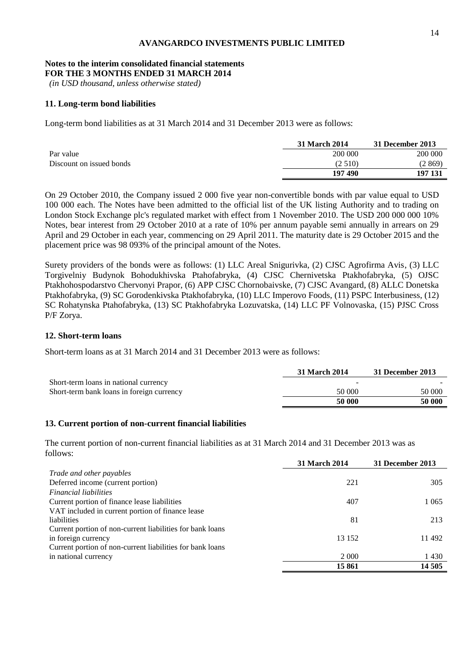# **Notes to the interim consolidated financial statements**

**FOR THE 3 MONTHS ENDED 31 MARCH 2014**

*(in USD thousand, unless otherwise stated)*

### **11. Long-term bond liabilities**

Long-term bond liabilities as at 31 March 2014 and 31 December 2013 were as follows:

|                          | 31 March 2014 | 31 December 2013 |
|--------------------------|---------------|------------------|
| Par value                | 200 000       | 200 000          |
| Discount on issued bonds | (2.510)       | (2869)           |
|                          | 197490        | 197 131          |

On 29 October 2010, the Company issued 2 000 five year non-convertible bonds with par value equal to USD 100 000 each. The Notes have been admitted to the official list of the UK listing Authority and to trading on London Stock Exchange plc's regulated market with effect from 1 November 2010. The USD 200 000 000 10% Notes, bear interest from 29 October 2010 at a rate of 10% per annum payable semi annually in arrears on 29 April and 29 October in each year, commencing on 29 April 2011. The maturity date is 29 October 2015 and the placement price was 98 093% of the principal amount of the Notes.

Surety providers of the bonds were as follows: (1) LLC Areal Snigurivka, (2) CJSC Agrofirma Avis, (3) LLC Torgivelniy Budynok Bohodukhivska Ptahofabryka, (4) CJSC Chernivetska Ptakhofabryka, (5) OJSC Ptakhohospodarstvo Chervonyi Prapor, (6) APP CJSC Chornobaivske, (7) CJSC Avangard, (8) ALLC Donetska Ptakhofabryka, (9) SC Gorodenkivska Ptakhofabryka, (10) LLC Imperovo Foods, (11) PSPC Interbusiness, (12) SC Rohatynska Ptahofabryka, (13) SC Ptakhofabryka Lozuvatska, (14) LLC PF Volnovaska, (15) PJSC Cross P/F Zorya.

#### **12. Short-term loans**

Short-term loans as at 31 March 2014 and 31 December 2013 were as follows:

|                                           | 31 March 2014 | 31 December 2013 |
|-------------------------------------------|---------------|------------------|
| Short-term loans in national currency     | -             |                  |
| Short-term bank loans in foreign currency | 50 000        | 50 000           |
|                                           | 50 000        | 50 000           |

## **13. Current portion of non-current financial liabilities**

The current portion of non-current financial liabilities as at 31 March 2014 and 31 December 2013 was as follows:

|                                                           | 31 March 2014 | 31 December 2013 |
|-----------------------------------------------------------|---------------|------------------|
| Trade and other payables                                  |               |                  |
| Deferred income (current portion)                         | 221           | 305              |
| <i>Financial liabilities</i>                              |               |                  |
| Current portion of finance lease liabilities              | 407           | 1 0 6 5          |
| VAT included in current portion of finance lease          |               |                  |
| liabilities                                               | 81            | 213              |
| Current portion of non-current liabilities for bank loans |               |                  |
| in foreign currency                                       | 13 152        | 11 492           |
| Current portion of non-current liabilities for bank loans |               |                  |
| in national currency                                      | 2 0 0 0       | 1430             |
|                                                           | 15861         | 14 505           |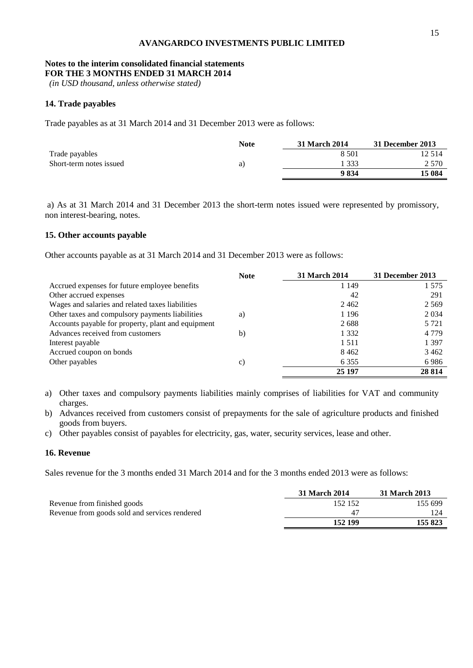## **Notes to the interim consolidated financial statements**

**FOR THE 3 MONTHS ENDED 31 MARCH 2014**

*(in USD thousand, unless otherwise stated)*

## **14. Trade payables**

Trade payables as at 31 March 2014 and 31 December 2013 were as follows:

|                         | <b>Note</b> | 31 March 2014 | 31 December 2013 |
|-------------------------|-------------|---------------|------------------|
| Trade payables          |             | 8.501         | 12 5 14          |
| Short-term notes issued | a)          | 333           | 2 5 7 0          |
|                         |             | 9834          | 15 084           |

a) As at 31 March 2014 and 31 December 2013 the short-term notes issued were represented by promissory, non interest-bearing, notes.

## **15. Other accounts payable**

Other accounts payable as at 31 March 2014 and 31 December 2013 were as follows:

|                                                    | <b>Note</b> | <b>31 March 2014</b> | 31 December 2013 |
|----------------------------------------------------|-------------|----------------------|------------------|
| Accrued expenses for future employee benefits      |             | 1 1 4 9              | 1 575            |
| Other accrued expenses                             |             | 42                   | 291              |
| Wages and salaries and related taxes liabilities   |             | 2462                 | 2 5 6 9          |
| Other taxes and compulsory payments liabilities    | a)          | 1 1 9 6              | 2 0 3 4          |
| Accounts payable for property, plant and equipment |             | 2688                 | 5 7 2 1          |
| Advances received from customers                   | b)          | 1 3 3 2              | 4 7 7 9          |
| Interest payable                                   |             | 1 5 1 1              | 1 3 9 7          |
| Accrued coupon on bonds                            |             | 8462                 | 3462             |
| Other payables                                     | c)          | 6 3 5 5              | 6986             |
|                                                    |             | 25 197               | 28 8 14          |

- a) Other taxes and compulsory payments liabilities mainly comprises of liabilities for VAT and community charges.
- b) Advances received from customers consist of prepayments for the sale of agriculture products and finished goods from buyers.
- c) Other payables consist of payables for electricity, gas, water, security services, lease and other.

## **16. Revenue**

Sales revenue for the 3 months ended 31 March 2014 and for the 3 months ended 2013 were as follows:

|                                               | 31 March 2014 | 31 March 2013 |
|-----------------------------------------------|---------------|---------------|
| Revenue from finished goods                   | 152 152       | 155 699       |
| Revenue from goods sold and services rendered | 47            |               |
|                                               | 152 199       | 155 823       |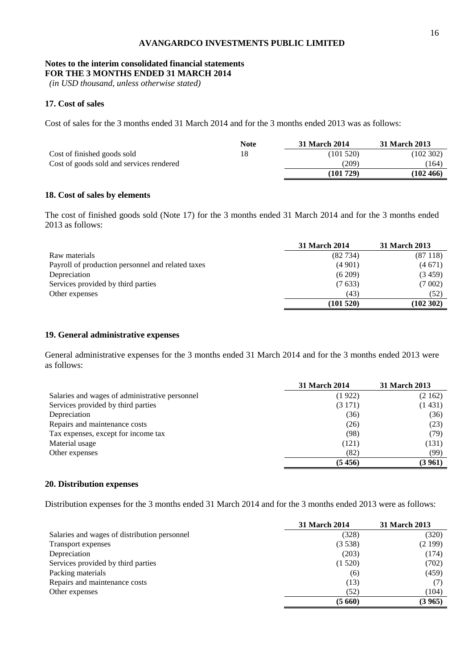# **Notes to the interim consolidated financial statements**

**FOR THE 3 MONTHS ENDED 31 MARCH 2014**

*(in USD thousand, unless otherwise stated)*

## **17. Cost of sales**

Cost of sales for the 3 months ended 31 March 2014 and for the 3 months ended 2013 was as follows:

|                                          | <b>Note</b> | 31 March 2014 | 31 March 2013 |
|------------------------------------------|-------------|---------------|---------------|
| Cost of finished goods sold              | 18          | (101 520)     | (102302)      |
| Cost of goods sold and services rendered |             | (209)         | (164)         |
|                                          |             | (101729)      | $(102\,466)$  |

## **18. Cost of sales by elements**

The cost of finished goods sold (Note 17) for the 3 months ended 31 March 2014 and for the 3 months ended 2013 as follows:

|                                                   | <b>31 March 2014</b> | 31 March 2013 |
|---------------------------------------------------|----------------------|---------------|
| Raw materials                                     | (82734)              | (87118)       |
| Payroll of production personnel and related taxes | (4901)               | (4671)        |
| Depreciation                                      | (6209)               | (3459)        |
| Services provided by third parties                | (7633)               | (7002)        |
| Other expenses                                    | (43)                 | (52)          |
|                                                   | (101520)             | (102 302)     |

## **19. General administrative expenses**

General administrative expenses for the 3 months ended 31 March 2014 and for the 3 months ended 2013 were as follows:

|                                                | <b>31 March 2014</b> | 31 March 2013 |
|------------------------------------------------|----------------------|---------------|
| Salaries and wages of administrative personnel | (1922)               | (2162)        |
| Services provided by third parties             | (3171)               | (1431)        |
| Depreciation                                   | (36)                 | (36)          |
| Repairs and maintenance costs                  | (26)                 | (23)          |
| Tax expenses, except for income tax            | (98)                 | (79)          |
| Material usage                                 | (121)                | (131)         |
| Other expenses                                 | (82)                 | (99)          |
|                                                | (5456)               | (3 961)       |

## **20. Distribution expenses**

Distribution expenses for the 3 months ended 31 March 2014 and for the 3 months ended 2013 were as follows:

|                                              | <b>31 March 2014</b> | <b>31 March 2013</b> |
|----------------------------------------------|----------------------|----------------------|
| Salaries and wages of distribution personnel | (328)                | (320)                |
| Transport expenses                           | (3538)               | (2199)               |
| Depreciation                                 | (203)                | (174)                |
| Services provided by third parties           | (1520)               | (702)                |
| Packing materials                            | (6)                  | (459)                |
| Repairs and maintenance costs                | (13)                 | (T)                  |
| Other expenses                               | (52)                 | (104)                |
|                                              | (5660)               | (3965)               |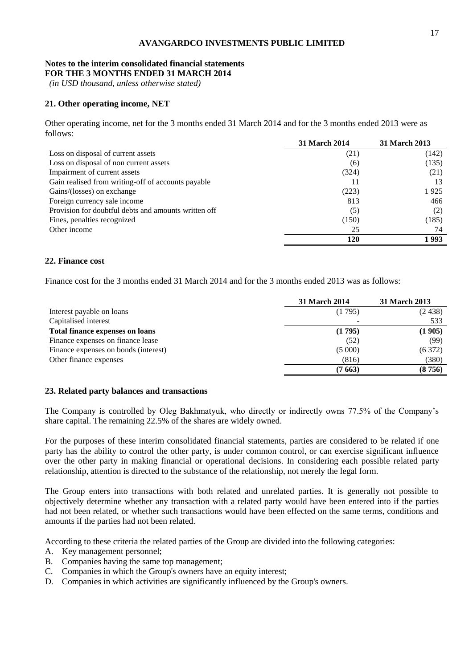#### **Notes to the interim consolidated financial statements FOR THE 3 MONTHS ENDED 31 MARCH 2014**

*(in USD thousand, unless otherwise stated)*

## **21. Other operating income, NET**

Other operating income, net for the 3 months ended 31 March 2014 and for the 3 months ended 2013 were as follows:

|                                                      | <b>31 March 2014</b> | <b>31 March 2013</b> |
|------------------------------------------------------|----------------------|----------------------|
| Loss on disposal of current assets                   | (21)                 | (142)                |
| Loss on disposal of non current assets               | (6)                  | (135)                |
| Impairment of current assets                         | (324)                | (21)                 |
| Gain realised from writing-off of accounts payable   |                      | 13                   |
| Gains/(losses) on exchange                           | (223)                | 1925                 |
| Foreign currency sale income                         | 813                  | 466                  |
| Provision for doubtful debts and amounts written off | (5)                  | (2)                  |
| Fines, penalties recognized                          | (150)                | (185)                |
| Other income                                         | 25                   | 74                   |
|                                                      | 120                  | 1 993                |

#### **22. Finance cost**

Finance cost for the 3 months ended 31 March 2014 and for the 3 months ended 2013 was as follows:

|                                        | 31 March 2014 | <b>31 March 2013</b> |
|----------------------------------------|---------------|----------------------|
| Interest payable on loans              | (1795)        | (2438)               |
| Capitalised interest                   |               | 533                  |
| <b>Total finance expenses on loans</b> | (1795)        | (1905)               |
| Finance expenses on finance lease      | (52)          | (99)                 |
| Finance expenses on bonds (interest)   | (5000)        | (6372)               |
| Other finance expenses                 | (816)         | (380)                |
|                                        | (7 663)       | (8756)               |

#### **23. Related party balances and transactions**

The Company is controlled by Oleg Bakhmatyuk, who directly or indirectly owns 77.5% of the Company's share capital. The remaining 22.5% of the shares are widely owned.

For the purposes of these interim consolidated financial statements, parties are considered to be related if one party has the ability to control the other party, is under common control, or can exercise significant influence over the other party in making financial or operational decisions. In considering each possible related party relationship, attention is directed to the substance of the relationship, not merely the legal form.

The Group enters into transactions with both related and unrelated parties. It is generally not possible to objectively determine whether any transaction with a related party would have been entered into if the parties had not been related, or whether such transactions would have been effected on the same terms, conditions and amounts if the parties had not been related.

According to these criteria the related parties of the Group are divided into the following categories:

- A. Key management personnel;
- B. Companies having the same top management;
- C. Companies in which the Group's owners have an equity interest;
- D. Companies in which activities are significantly influenced by the Group's owners.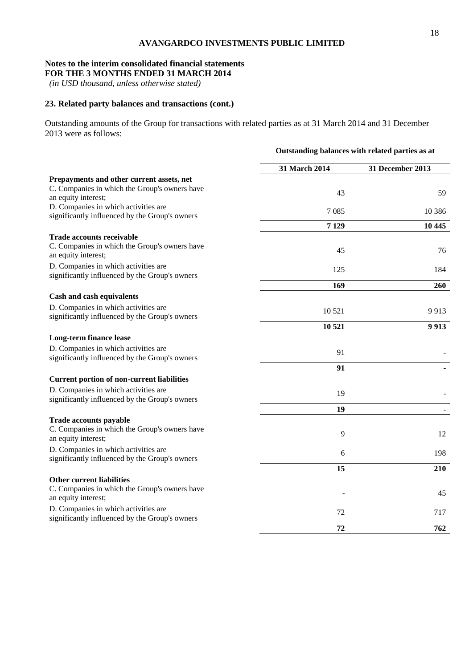# **Notes to the interim consolidated financial statements**

**FOR THE 3 MONTHS ENDED 31 MARCH 2014**

*(in USD thousand, unless otherwise stated)*

## **23. Related party balances and transactions (cont.)**

Outstanding amounts of the Group for transactions with related parties as at 31 March 2014 and 31 December 2013 were as follows:

|                                                                                        | Outstanding balances with related parties as at |                  |  |
|----------------------------------------------------------------------------------------|-------------------------------------------------|------------------|--|
|                                                                                        | 31 March 2014                                   | 31 December 2013 |  |
| Prepayments and other current assets, net                                              |                                                 |                  |  |
| C. Companies in which the Group's owners have<br>an equity interest;                   | 43                                              | 59               |  |
| D. Companies in which activities are<br>significantly influenced by the Group's owners | 7085                                            | 10 3 8 6         |  |
|                                                                                        | 7 1 29                                          | 10 445           |  |
| <b>Trade accounts receivable</b>                                                       |                                                 |                  |  |
| C. Companies in which the Group's owners have<br>an equity interest;                   | 45                                              | 76               |  |
| D. Companies in which activities are<br>significantly influenced by the Group's owners | 125                                             | 184              |  |
|                                                                                        | 169                                             | 260              |  |
| Cash and cash equivalents                                                              |                                                 |                  |  |
| D. Companies in which activities are<br>significantly influenced by the Group's owners | 10 5 21                                         | 9913             |  |
|                                                                                        | 10 521                                          | 9913             |  |
| <b>Long-term finance lease</b>                                                         |                                                 |                  |  |
| D. Companies in which activities are<br>significantly influenced by the Group's owners | 91                                              |                  |  |
|                                                                                        | 91                                              |                  |  |
| <b>Current portion of non-current liabilities</b>                                      |                                                 |                  |  |
| D. Companies in which activities are<br>significantly influenced by the Group's owners | 19                                              |                  |  |
|                                                                                        | 19                                              |                  |  |
| Trade accounts payable                                                                 |                                                 |                  |  |
| C. Companies in which the Group's owners have<br>an equity interest;                   | 9                                               | 12               |  |
| D. Companies in which activities are<br>significantly influenced by the Group's owners | 6                                               | 198              |  |
|                                                                                        | 15                                              | 210              |  |
| <b>Other current liabilities</b>                                                       |                                                 |                  |  |
| C. Companies in which the Group's owners have<br>an equity interest;                   |                                                 | 45               |  |
| D. Companies in which activities are<br>significantly influenced by the Group's owners | 72                                              | 717              |  |
|                                                                                        | 72                                              | 762              |  |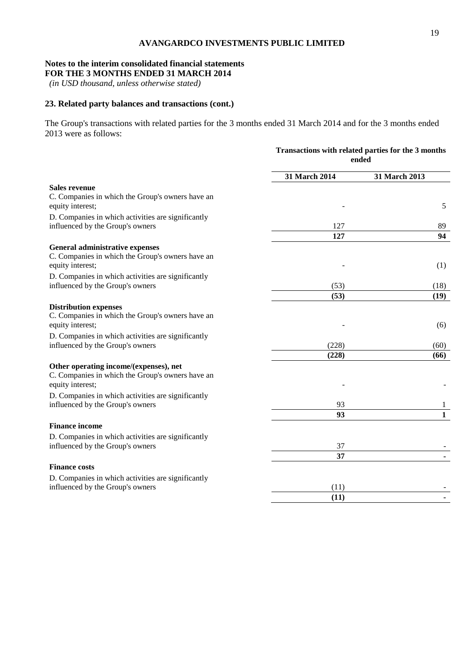# **Notes to the interim consolidated financial statements**

**FOR THE 3 MONTHS ENDED 31 MARCH 2014**

*(in USD thousand, unless otherwise stated)*

## **23. Related party balances and transactions (cont.)**

The Group's transactions with related parties for the 3 months ended 31 March 2014 and for the 3 months ended 2013 were as follows:

|                                                                                                                | Transactions with related parties for the 3 months<br>ended |               |
|----------------------------------------------------------------------------------------------------------------|-------------------------------------------------------------|---------------|
|                                                                                                                | 31 March 2014                                               | 31 March 2013 |
| <b>Sales revenue</b><br>C. Companies in which the Group's owners have an                                       |                                                             |               |
| equity interest;                                                                                               |                                                             | 5             |
| D. Companies in which activities are significantly<br>influenced by the Group's owners                         | 127                                                         | 89            |
|                                                                                                                | 127                                                         | 94            |
| General administrative expenses                                                                                |                                                             |               |
| C. Companies in which the Group's owners have an<br>equity interest;                                           |                                                             | (1)           |
| D. Companies in which activities are significantly                                                             |                                                             |               |
| influenced by the Group's owners                                                                               | (53)                                                        | (18)          |
|                                                                                                                | (53)                                                        | (19)          |
| <b>Distribution expenses</b><br>C. Companies in which the Group's owners have an<br>equity interest;           |                                                             | (6)           |
| D. Companies in which activities are significantly                                                             |                                                             |               |
| influenced by the Group's owners                                                                               | (228)                                                       | (60)          |
|                                                                                                                | (228)                                                       | (66)          |
| Other operating income/(expenses), net<br>C. Companies in which the Group's owners have an<br>equity interest; |                                                             |               |
| D. Companies in which activities are significantly                                                             |                                                             |               |
| influenced by the Group's owners                                                                               | 93                                                          | 1             |
|                                                                                                                | 93                                                          | $\mathbf{1}$  |
| <b>Finance income</b>                                                                                          |                                                             |               |
| D. Companies in which activities are significantly<br>influenced by the Group's owners                         | 37                                                          |               |
|                                                                                                                | 37                                                          |               |
| <b>Finance costs</b>                                                                                           |                                                             |               |
| D. Companies in which activities are significantly                                                             |                                                             |               |
| influenced by the Group's owners                                                                               | (11)                                                        |               |
|                                                                                                                | (11)                                                        |               |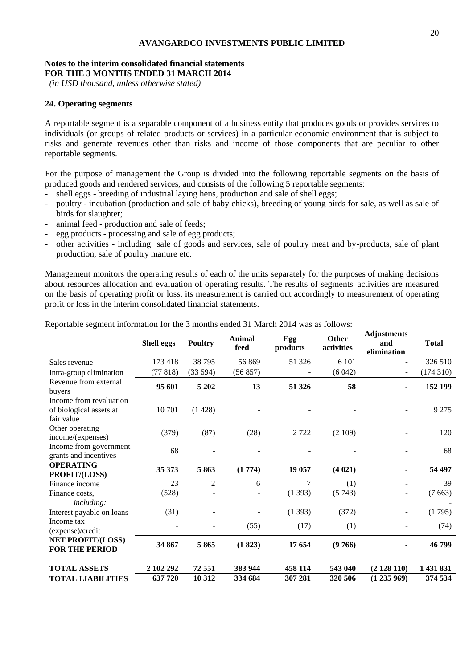#### **Notes to the interim consolidated financial statements FOR THE 3 MONTHS ENDED 31 MARCH 2014**

*(in USD thousand, unless otherwise stated)*

#### **24. Operating segments**

A reportable segment is a separable component of a business entity that produces goods or provides services to individuals (or groups of related products or services) in a particular economic environment that is subject to risks and generate revenues other than risks and income of those components that are peculiar to other reportable segments.

For the purpose of management the Group is divided into the following reportable segments on the basis of produced goods and rendered services, and consists of the following 5 reportable segments:

- shell eggs breeding of industrial laying hens, production and sale of shell eggs;
- poultry incubation (production and sale of baby chicks), breeding of young birds for sale, as well as sale of birds for slaughter;
- animal feed production and sale of feeds;
- egg products processing and sale of egg products;
- other activities including sale of goods and services, sale of poultry meat and by-products, sale of plant production, sale of poultry manure etc.

Management monitors the operating results of each of the units separately for the purposes of making decisions about resources allocation and evaluation of operating results. The results of segments' activities are measured on the basis of operating profit or loss, its measurement is carried out accordingly to measurement of operating profit or loss in the interim consolidated financial statements.

|                                                                  | <b>Shell eggs</b> | <b>Poultry</b> | Animal<br>feed | Egg<br>products | Other<br>activities | ragustments<br>and<br>elimination | <b>Total</b> |
|------------------------------------------------------------------|-------------------|----------------|----------------|-----------------|---------------------|-----------------------------------|--------------|
| Sales revenue                                                    | 173 418           | 38795          | 56869          | 51 326          | 6 1 0 1             |                                   | 326 510      |
| Intra-group elimination                                          | (77818)           | (33594)        | (56 857)       |                 | (6042)              |                                   | (174310)     |
| Revenue from external<br>buyers                                  | 95 601            | 5 2 0 2        | 13             | 51 326          | 58                  | $\blacksquare$                    | 152 199      |
| Income from revaluation<br>of biological assets at<br>fair value | 10701             | (1428)         |                |                 |                     |                                   | 9 2 7 5      |
| Other operating<br>income/(expenses)                             | (379)             | (87)           | (28)           | 2722            | (2109)              |                                   | 120          |
| Income from government<br>grants and incentives                  | 68                |                |                |                 |                     |                                   | 68           |
| <b>OPERATING</b><br>PROFIT/(LOSS)                                | 35 373            | 5863           | (1774)         | 19 057          | (4021)              |                                   | 54 497       |
| Finance income                                                   | 23                | $\overline{c}$ | 6              | 7               | (1)                 |                                   | 39           |
| Finance costs,<br>including:                                     | (528)             |                |                | (1393)          | (5743)              |                                   | (7663)       |
| Interest payable on loans                                        | (31)              |                |                | (1393)          | (372)               | $\overline{\phantom{a}}$          | (1795)       |
| Income tax<br>(expense)/credit                                   |                   |                | (55)           | (17)            | (1)                 |                                   | (74)         |
| <b>NET PROFIT/(LOSS)</b><br><b>FOR THE PERIOD</b>                | 34 867            | 5865           | (1823)         | 17 654          | (9766)              |                                   | 46 799       |
| <b>TOTAL ASSETS</b>                                              | 2 102 292         | 72551          | 383 944        | 458 114         | 543 040             | (2128110)                         | 1 431 831    |
| <b>TOTAL LIABILITIES</b>                                         | 637 720           | 10 312         | 334 684        | 307 281         | 320 506             | (1235969)                         | 374 534      |

Reportable segment information for the 3 months ended 31 March 2014 was as follows:

**Adjustments**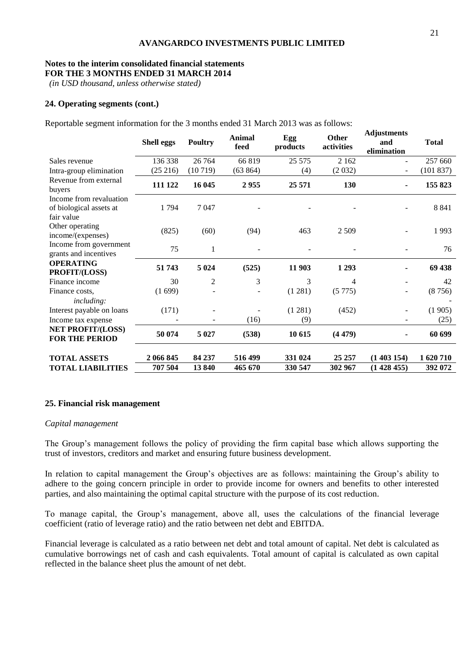## **Notes to the interim consolidated financial statements**

**FOR THE 3 MONTHS ENDED 31 MARCH 2014**

*(in USD thousand, unless otherwise stated)*

### **24. Operating segments (cont.)**

Reportable segment information for the 3 months ended 31 March 2013 was as follows:

|                                                                  | Shell eggs | <b>Poultry</b> | Animal<br>feed | Egg<br>products | <b>Other</b><br>activities | <b>Adjustments</b><br>and<br>elimination | <b>Total</b> |
|------------------------------------------------------------------|------------|----------------|----------------|-----------------|----------------------------|------------------------------------------|--------------|
| Sales revenue                                                    | 136 338    | 26 7 64        | 66819          | 25 5 75         | 2 1 6 2                    |                                          | 257 660      |
| Intra-group elimination                                          | (25 216)   | (10719)        | (63 864)       | (4)             | (2032)                     | $\overline{\phantom{a}}$                 | (101 837)    |
| Revenue from external<br>buyers                                  | 111 122    | 16 045         | 2955           | 25 571          | 130                        |                                          | 155 823      |
| Income from revaluation<br>of biological assets at<br>fair value | 1794       | 7047           |                |                 |                            |                                          | 8 8 4 1      |
| Other operating<br>income/(expenses)                             | (825)      | (60)           | (94)           | 463             | 2 5 0 9                    |                                          | 1993         |
| Income from government<br>grants and incentives                  | 75         | 1              |                |                 |                            |                                          | 76           |
| <b>OPERATING</b><br>PROFIT/(LOSS)                                | 51 743     | 5 0 24         | (525)          | 11 903          | 1 2 9 3                    |                                          | 69 438       |
| Finance income                                                   | 30         | $\overline{2}$ | 3              | 3               | 4                          |                                          | 42           |
| Finance costs,<br><i>including:</i>                              | (1699)     |                |                | (1 281)         | (5775)                     | $\overline{\phantom{a}}$                 | (8756)       |
| Interest payable on loans                                        | (171)      |                |                | (1 281)         | (452)                      |                                          | (1905)       |
| Income tax expense                                               |            |                | (16)           | (9)             |                            |                                          | (25)         |
| <b>NET PROFIT/(LOSS)</b><br><b>FOR THE PERIOD</b>                | 50 074     | 5 0 2 7        | (538)          | 10 615          | (4479)                     |                                          | 60 699       |
| <b>TOTAL ASSETS</b>                                              | 2 066 845  | 84 237         | 516 499        | 331 024         | 25 25 7                    | (1403154)                                | 1 620 710    |
| TOTAL LIABILITIES                                                | 707 504    | 13840          | 465 670        | 330 547         | 302 967                    | (1428455)                                | 392 072      |

#### **25. Financial risk management**

#### *Capital management*

The Group's management follows the policy of providing the firm capital base which allows supporting the trust of investors, creditors and market and ensuring future business development.

In relation to capital management the Group's objectives are as follows: maintaining the Group's ability to adhere to the going concern principle in order to provide income for owners and benefits to other interested parties, and also maintaining the optimal capital structure with the purpose of its cost reduction.

To manage capital, the Group's management, above all, uses the calculations of the financial leverage coefficient (ratio of leverage ratio) and the ratio between net debt and EBITDA.

Financial leverage is calculated as a ratio between net debt and total amount of capital. Net debt is calculated as cumulative borrowings net of cash and cash equivalents. Total amount of capital is calculated as own capital reflected in the balance sheet plus the amount of net debt.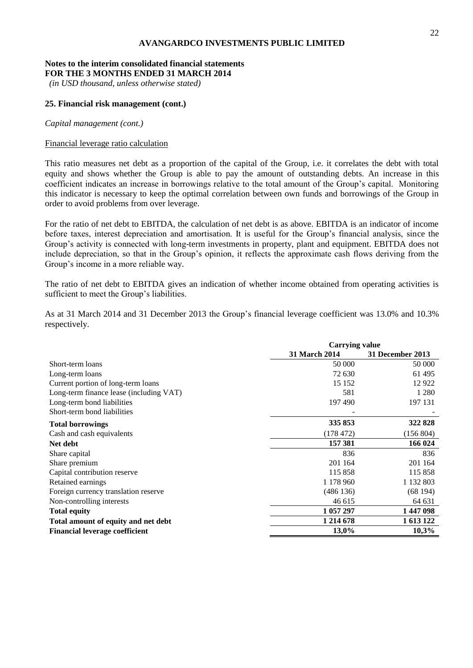#### **Notes to the interim consolidated financial statements FOR THE 3 MONTHS ENDED 31 MARCH 2014**

*(in USD thousand, unless otherwise stated)*

#### **25. Financial risk management (cont.)**

#### *Capital management (cont.)*

## Financial leverage ratio calculation

This ratio measures net debt as a proportion of the capital of the Group, i.e. it correlates the debt with total equity and shows whether the Group is able to pay the amount of outstanding debts. An increase in this coefficient indicates an increase in borrowings relative to the total amount of the Group's capital. Monitoring this indicator is necessary to keep the optimal correlation between own funds and borrowings of the Group in order to avoid problems from over leverage.

For the ratio of net debt to EBITDA, the calculation of net debt is as above. EBITDA is an indicator of income before taxes, interest depreciation and amortisation. It is useful for the Group's financial analysis, since the Group's activity is connected with long-term investments in property, plant and equipment. EBITDA does not include depreciation, so that in the Group's opinion, it reflects the approximate cash flows deriving from the Group's income in a more reliable way.

The ratio of net debt to EBITDA gives an indication of whether income obtained from operating activities is sufficient to meet the Group's liabilities.

As at 31 March 2014 and 31 December 2013 the Group's financial leverage coefficient was 13.0% and 10.3% respectively.

|                                         | <b>Carrying value</b> |                  |  |
|-----------------------------------------|-----------------------|------------------|--|
|                                         | <b>31 March 2014</b>  | 31 December 2013 |  |
| Short-term loans                        | 50 000                | 50 000           |  |
| Long-term loans                         | 72 630                | 61 495           |  |
| Current portion of long-term loans      | 15 15 2               | 12 9 22          |  |
| Long-term finance lease (including VAT) | 581                   | 1 2 8 0          |  |
| Long-term bond liabilities              | 197490                | 197 131          |  |
| Short-term bond liabilities             |                       |                  |  |
| <b>Total borrowings</b>                 | 335 853               | 322 828          |  |
| Cash and cash equivalents               | (178472)              | (156 804)        |  |
| Net debt                                | 157 381               | 166 024          |  |
| Share capital                           | 836                   | 836              |  |
| Share premium                           | 201 164               | 201 164          |  |
| Capital contribution reserve            | 115 858               | 115 858          |  |
| Retained earnings                       | 1 178 960             | 1 132 803        |  |
| Foreign currency translation reserve    | (486136)              | (68194)          |  |
| Non-controlling interests               | 46 615                | 64 631           |  |
| <b>Total equity</b>                     | 1 057 297             | 1447098          |  |
| Total amount of equity and net debt     | 1 2 1 4 6 7 8         | 1 613 122        |  |
| <b>Financial leverage coefficient</b>   | 10,3%<br>13,0%        |                  |  |